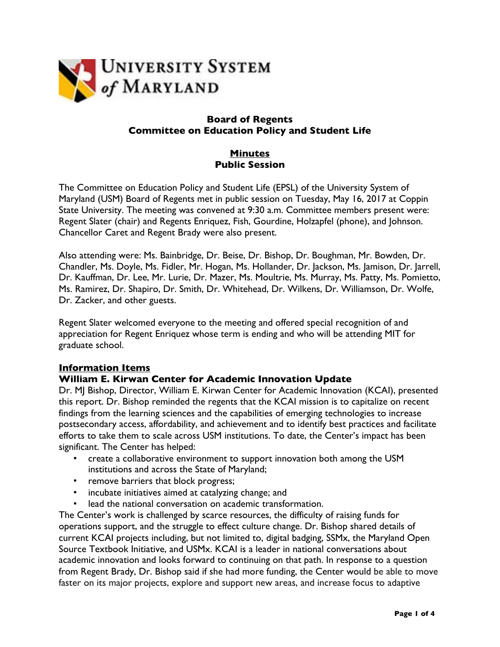

## **Board of Regents Committee on Education Policy and Student Life**

## **Minutes Public Session**

The Committee on Education Policy and Student Life (EPSL) of the University System of Maryland (USM) Board of Regents met in public session on Tuesday, May 16, 2017 at Coppin State University. The meeting was convened at 9:30 a.m. Committee members present were: Regent Slater (chair) and Regents Enriquez, Fish, Gourdine, Holzapfel (phone), and Johnson. Chancellor Caret and Regent Brady were also present.

Also attending were: Ms. Bainbridge, Dr. Beise, Dr. Bishop, Dr. Boughman, Mr. Bowden, Dr. Chandler, Ms. Doyle, Ms. Fidler, Mr. Hogan, Ms. Hollander, Dr. Jackson, Ms. Jamison, Dr. Jarrell, Dr. Kauffman, Dr. Lee, Mr. Lurie, Dr. Mazer, Ms. Moultrie, Ms. Murray, Ms. Patty, Ms. Pomietto, Ms. Ramirez, Dr. Shapiro, Dr. Smith, Dr. Whitehead, Dr. Wilkens, Dr. Williamson, Dr. Wolfe, Dr. Zacker, and other guests.

Regent Slater welcomed everyone to the meeting and offered special recognition of and appreciation for Regent Enriquez whose term is ending and who will be attending MIT for graduate school.

#### **Information Items**

# **William E. Kirwan Center for Academic Innovation Update**

Dr. MJ Bishop, Director, William E. Kirwan Center for Academic Innovation (KCAI), presented this report. Dr. Bishop reminded the regents that the KCAI mission is to capitalize on recent findings from the learning sciences and the capabilities of emerging technologies to increase postsecondary access, affordability, and achievement and to identify best practices and facilitate efforts to take them to scale across USM institutions. To date, the Center's impact has been significant. The Center has helped:

- create a collaborative environment to support innovation both among the USM institutions and across the State of Maryland;
- remove barriers that block progress;
- incubate initiatives aimed at catalyzing change; and
- lead the national conversation on academic transformation.

The Center's work is challenged by scarce resources, the difficulty of raising funds for operations support, and the struggle to effect culture change. Dr. Bishop shared details of current KCAI projects including, but not limited to, digital badging, SSMx, the Maryland Open Source Textbook Initiative, and USMx. KCAI is a leader in national conversations about academic innovation and looks forward to continuing on that path. In response to a question from Regent Brady, Dr. Bishop said if she had more funding, the Center would be able to move faster on its major projects, explore and support new areas, and increase focus to adaptive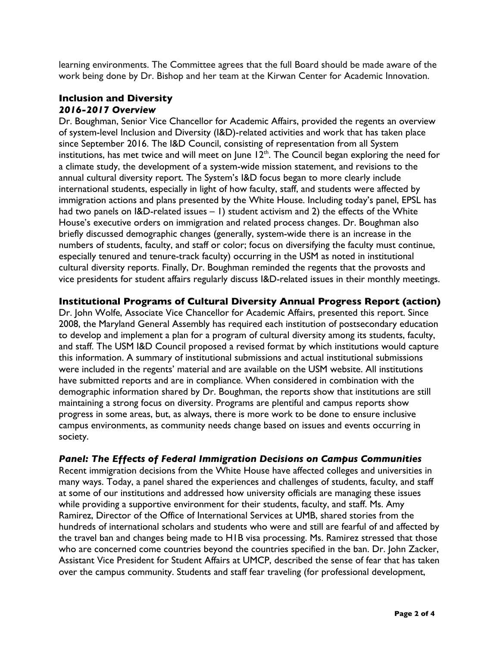learning environments. The Committee agrees that the full Board should be made aware of the work being done by Dr. Bishop and her team at the Kirwan Center for Academic Innovation.

#### **Inclusion and Diversity**  *2016-2017 Overview*

Dr. Boughman, Senior Vice Chancellor for Academic Affairs, provided the regents an overview of system-level Inclusion and Diversity (I&D)-related activities and work that has taken place since September 2016. The I&D Council, consisting of representation from all System institutions, has met twice and will meet on June  $12^{th}$ . The Council began exploring the need for a climate study, the development of a system-wide mission statement, and revisions to the annual cultural diversity report. The System's I&D focus began to more clearly include international students, especially in light of how faculty, staff, and students were affected by immigration actions and plans presented by the White House. Including today's panel, EPSL has had two panels on I&D-related issues - 1) student activism and 2) the effects of the White House's executive orders on immigration and related process changes. Dr. Boughman also briefly discussed demographic changes (generally, system-wide there is an increase in the numbers of students, faculty, and staff or color; focus on diversifying the faculty must continue, especially tenured and tenure-track faculty) occurring in the USM as noted in institutional cultural diversity reports. Finally, Dr. Boughman reminded the regents that the provosts and vice presidents for student affairs regularly discuss I&D-related issues in their monthly meetings.

## **Institutional Programs of Cultural Diversity Annual Progress Report (action)**

Dr. John Wolfe, Associate Vice Chancellor for Academic Affairs, presented this report. Since 2008, the Maryland General Assembly has required each institution of postsecondary education to develop and implement a plan for a program of cultural diversity among its students, faculty, and staff. The USM I&D Council proposed a revised format by which institutions would capture this information. A summary of institutional submissions and actual institutional submissions were included in the regents' material and are available on the USM website. All institutions have submitted reports and are in compliance. When considered in combination with the demographic information shared by Dr. Boughman, the reports show that institutions are still maintaining a strong focus on diversity. Programs are plentiful and campus reports show progress in some areas, but, as always, there is more work to be done to ensure inclusive campus environments, as community needs change based on issues and events occurring in society.

#### *Panel: The Effects of Federal Immigration Decisions on Campus Communities*

Recent immigration decisions from the White House have affected colleges and universities in many ways. Today, a panel shared the experiences and challenges of students, faculty, and staff at some of our institutions and addressed how university officials are managing these issues while providing a supportive environment for their students, faculty, and staff. Ms. Amy Ramirez, Director of the Office of International Services at UMB, shared stories from the hundreds of international scholars and students who were and still are fearful of and affected by the travel ban and changes being made to H1B visa processing. Ms. Ramirez stressed that those who are concerned come countries beyond the countries specified in the ban. Dr. John Zacker, Assistant Vice President for Student Affairs at UMCP, described the sense of fear that has taken over the campus community. Students and staff fear traveling (for professional development,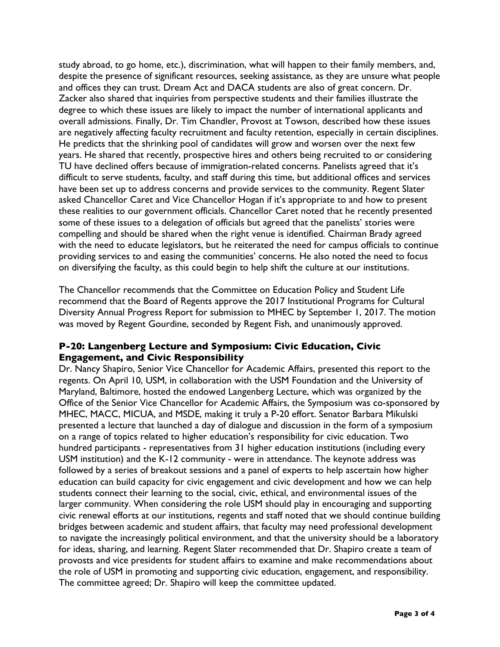study abroad, to go home, etc.), discrimination, what will happen to their family members, and, despite the presence of significant resources, seeking assistance, as they are unsure what people and offices they can trust. Dream Act and DACA students are also of great concern. Dr. Zacker also shared that inquiries from perspective students and their families illustrate the degree to which these issues are likely to impact the number of international applicants and overall admissions. Finally, Dr. Tim Chandler, Provost at Towson, described how these issues are negatively affecting faculty recruitment and faculty retention, especially in certain disciplines. He predicts that the shrinking pool of candidates will grow and worsen over the next few years. He shared that recently, prospective hires and others being recruited to or considering TU have declined offers because of immigration-related concerns. Panelists agreed that it's difficult to serve students, faculty, and staff during this time, but additional offices and services have been set up to address concerns and provide services to the community. Regent Slater asked Chancellor Caret and Vice Chancellor Hogan if it's appropriate to and how to present these realities to our government officials. Chancellor Caret noted that he recently presented some of these issues to a delegation of officials but agreed that the panelists' stories were compelling and should be shared when the right venue is identified. Chairman Brady agreed with the need to educate legislators, but he reiterated the need for campus officials to continue providing services to and easing the communities' concerns. He also noted the need to focus on diversifying the faculty, as this could begin to help shift the culture at our institutions.

The Chancellor recommends that the Committee on Education Policy and Student Life recommend that the Board of Regents approve the 2017 Institutional Programs for Cultural Diversity Annual Progress Report for submission to MHEC by September 1, 2017. The motion was moved by Regent Gourdine, seconded by Regent Fish, and unanimously approved.

# **P-20: Langenberg Lecture and Symposium: Civic Education, Civic Engagement, and Civic Responsibility**

Dr. Nancy Shapiro, Senior Vice Chancellor for Academic Affairs, presented this report to the regents. On April 10, USM, in collaboration with the USM Foundation and the University of Maryland, Baltimore, hosted the endowed Langenberg Lecture, which was organized by the Office of the Senior Vice Chancellor for Academic Affairs, the Symposium was co-sponsored by MHEC, MACC, MICUA, and MSDE, making it truly a P-20 effort. Senator Barbara Mikulski presented a lecture that launched a day of dialogue and discussion in the form of a symposium on a range of topics related to higher education's responsibility for civic education. Two hundred participants - representatives from 31 higher education institutions (including every USM institution) and the K-12 community - were in attendance. The keynote address was followed by a series of breakout sessions and a panel of experts to help ascertain how higher education can build capacity for civic engagement and civic development and how we can help students connect their learning to the social, civic, ethical, and environmental issues of the larger community. When considering the role USM should play in encouraging and supporting civic renewal efforts at our institutions, regents and staff noted that we should continue building bridges between academic and student affairs, that faculty may need professional development to navigate the increasingly political environment, and that the university should be a laboratory for ideas, sharing, and learning. Regent Slater recommended that Dr. Shapiro create a team of provosts and vice presidents for student affairs to examine and make recommendations about the role of USM in promoting and supporting civic education, engagement, and responsibility. The committee agreed; Dr. Shapiro will keep the committee updated.